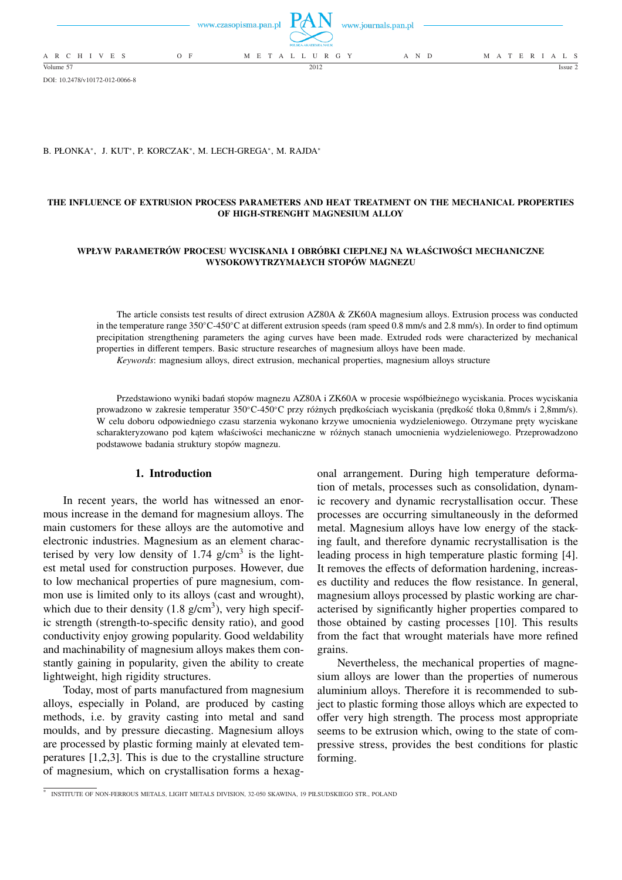

DOI: 10.2478/v10172-012-0066-8

#### B. PŁONKA\*, J. KUT\*, P. KORCZAK\*, M. LECH-GREGA\*, M. RAJDA\*

### **THE INFLUENCE OF EXTRUSION PROCESS PARAMETERS AND HEAT TREATMENT ON THE MECHANICAL PROPERTIES OF HIGH-STRENGHT MAGNESIUM ALLOY**

### **WPŁYW PARAMETRÓW PROCESU WYCISKANIA I OBRÓBKI CIEPLNEJ NA WŁAŚCIWOŚCI MECHANICZNE WYSOKOWYTRZYMAŁYCH STOPÓW MAGNEZU**

The article consists test results of direct extrusion AZ80A & ZK60A magnesium alloys. Extrusion process was conducted in the temperature range 350◦C-450◦C at different extrusion speeds (ram speed 0.8 mm/s and 2.8 mm/s). In order to find optimum precipitation strengthening parameters the aging curves have been made. Extruded rods were characterized by mechanical properties in different tempers. Basic structure researches of magnesium alloys have been made.

*Keywords*: magnesium alloys, direct extrusion, mechanical properties, magnesium alloys structure

Przedstawiono wyniki badań stopów magnezu AZ80A i ZK60A w procesie współbieżnego wyciskania. Proces wyciskania prowadzono w zakresie temperatur 350◦C-450◦C przy różnych prędkościach wyciskania (prędkość tłoka 0,8mm/s i 2,8mm/s). W celu doboru odpowiedniego czasu starzenia wykonano krzywe umocnienia wydzieleniowego. Otrzymane pręty wyciskane scharakteryzowano pod kątem właściwości mechaniczne w różnych stanach umocnienia wydzieleniowego. Przeprowadzono podstawowe badania struktury stopów magnezu.

# **1. Introduction**

In recent years, the world has witnessed an enormous increase in the demand for magnesium alloys. The main customers for these alloys are the automotive and electronic industries. Magnesium as an element characterised by very low density of 1.74  $g/cm<sup>3</sup>$  is the lightest metal used for construction purposes. However, due to low mechanical properties of pure magnesium, common use is limited only to its alloys (cast and wrought), which due to their density  $(1.8 \text{ g/cm}^3)$ , very high specific strength (strength-to-specific density ratio), and good conductivity enjoy growing popularity. Good weldability and machinability of magnesium alloys makes them constantly gaining in popularity, given the ability to create lightweight, high rigidity structures.

Today, most of parts manufactured from magnesium alloys, especially in Poland, are produced by casting methods, i.e. by gravity casting into metal and sand moulds, and by pressure diecasting. Magnesium alloys are processed by plastic forming mainly at elevated temperatures [1,2,3]. This is due to the crystalline structure of magnesium, which on crystallisation forms a hexagonal arrangement. During high temperature deformation of metals, processes such as consolidation, dynamic recovery and dynamic recrystallisation occur. These processes are occurring simultaneously in the deformed metal. Magnesium alloys have low energy of the stacking fault, and therefore dynamic recrystallisation is the leading process in high temperature plastic forming [4]. It removes the effects of deformation hardening, increases ductility and reduces the flow resistance. In general, magnesium alloys processed by plastic working are characterised by significantly higher properties compared to those obtained by casting processes [10]. This results from the fact that wrought materials have more refined grains.

Nevertheless, the mechanical properties of magnesium alloys are lower than the properties of numerous aluminium alloys. Therefore it is recommended to subject to plastic forming those alloys which are expected to offer very high strength. The process most appropriate seems to be extrusion which, owing to the state of compressive stress, provides the best conditions for plastic forming.

<sup>∗</sup> INSTITUTE OF NON-FERROUS METALS, LIGHT METALS DIVISION, 32-050 SKAWINA, 19 PIŁSUDSKIEGO STR., POLAND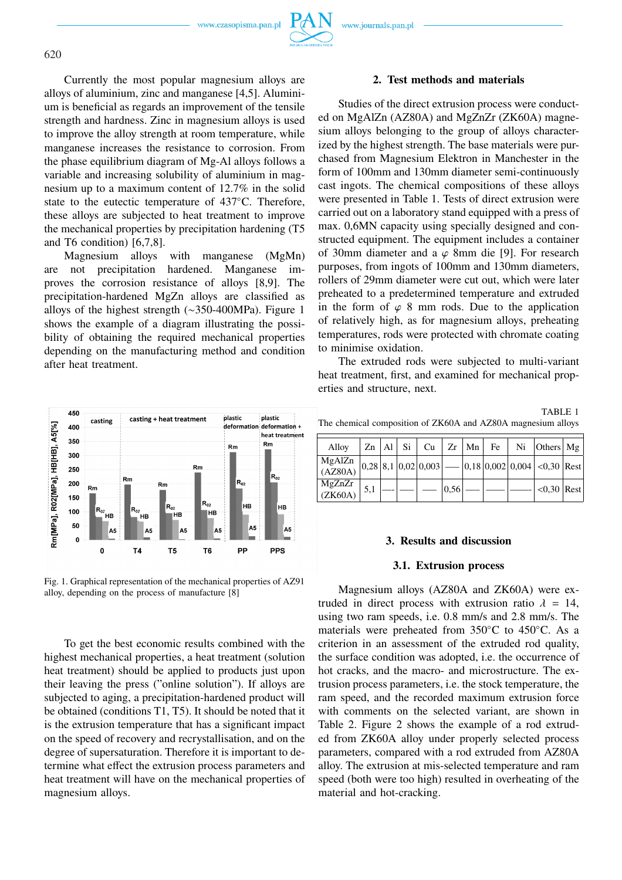

Currently the most popular magnesium alloys are alloys of aluminium, zinc and manganese [4,5]. Aluminium is beneficial as regards an improvement of the tensile strength and hardness. Zinc in magnesium alloys is used to improve the alloy strength at room temperature, while manganese increases the resistance to corrosion. From the phase equilibrium diagram of Mg-Al alloys follows a variable and increasing solubility of aluminium in magnesium up to a maximum content of 12.7% in the solid state to the eutectic temperature of 437°C. Therefore, these alloys are subjected to heat treatment to improve the mechanical properties by precipitation hardening (T5 and T6 condition) [6,7,8].

Magnesium alloys with manganese (MgMn) are not precipitation hardened. Manganese improves the corrosion resistance of alloys [8,9]. The precipitation-hardened MgZn alloys are classified as alloys of the highest strength (∼350-400MPa). Figure 1 shows the example of a diagram illustrating the possibility of obtaining the required mechanical properties depending on the manufacturing method and condition after heat treatment.



Fig. 1. Graphical representation of the mechanical properties of AZ91 alloy, depending on the process of manufacture [8]

To get the best economic results combined with the highest mechanical properties, a heat treatment (solution heat treatment) should be applied to products just upon their leaving the press ("online solution"). If alloys are subjected to aging, a precipitation-hardened product will be obtained (conditions T1, T5). It should be noted that it is the extrusion temperature that has a significant impact on the speed of recovery and recrystallisation, and on the degree of supersaturation. Therefore it is important to determine what effect the extrusion process parameters and heat treatment will have on the mechanical properties of magnesium alloys.

## **2. Test methods and materials**

Studies of the direct extrusion process were conducted on MgAlZn (AZ80A) and MgZnZr (ZK60A) magnesium alloys belonging to the group of alloys characterized by the highest strength. The base materials were purchased from Magnesium Elektron in Manchester in the form of 100mm and 130mm diameter semi-continuously cast ingots. The chemical compositions of these alloys were presented in Table 1. Tests of direct extrusion were carried out on a laboratory stand equipped with a press of max. 0,6MN capacity using specially designed and constructed equipment. The equipment includes a container of 30mm diameter and a  $\varphi$  8mm die [9]. For research purposes, from ingots of 100mm and 130mm diameters, rollers of 29mm diameter were cut out, which were later preheated to a predetermined temperature and extruded in the form of  $\varphi$  8 mm rods. Due to the application of relatively high, as for magnesium alloys, preheating temperatures, rods were protected with chromate coating to minimise oxidation.

The extruded rods were subjected to multi-variant heat treatment, first, and examined for mechanical properties and structure, next.

TABLE 1 The chemical composition of ZK60A and AZ80A magnesium alloys

| Alloy                                                                                                                                                   |     |  |      |  | $\mathbb{Z}$ n   Al   Si   Cu   Zr   Mn   Fe   Ni   Others   Mg |  |
|---------------------------------------------------------------------------------------------------------------------------------------------------------|-----|--|------|--|-----------------------------------------------------------------|--|
| $\left \frac{\text{MgAlZn}}{(\text{AZ80A})}\right 0,28\left 8,1\right 0,02\left 0,003\right $ --- $\left 0,18\right 0,002\left 0,004\right $ <0,30 Rest |     |  |      |  |                                                                 |  |
| $MgZnZr$<br>(ZK60A)                                                                                                                                     | 5,1 |  | 0,56 |  | $ $ <0.30 Rest                                                  |  |

#### **3. Results and discussion**

### **3.1. Extrusion process**

Magnesium alloys (AZ80A and ZK60A) were extruded in direct process with extrusion ratio  $\lambda = 14$ , using two ram speeds, i.e. 0.8 mm/s and 2.8 mm/s. The materials were preheated from 350◦C to 450◦C. As a criterion in an assessment of the extruded rod quality, the surface condition was adopted, i.e. the occurrence of hot cracks, and the macro- and microstructure. The extrusion process parameters, i.e. the stock temperature, the ram speed, and the recorded maximum extrusion force with comments on the selected variant, are shown in Table 2. Figure 2 shows the example of a rod extruded from ZK60A alloy under properly selected process parameters, compared with a rod extruded from AZ80A alloy. The extrusion at mis-selected temperature and ram speed (both were too high) resulted in overheating of the material and hot-cracking.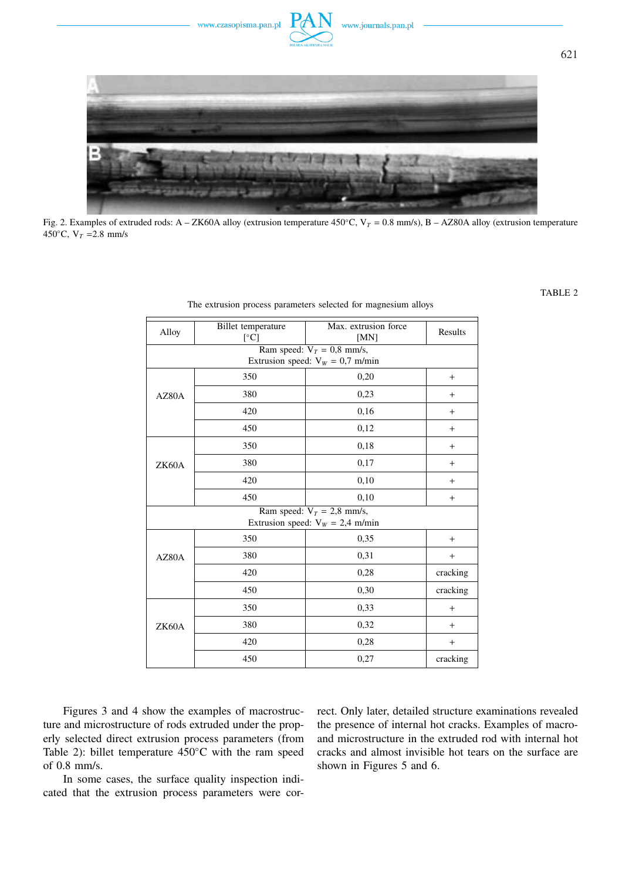

Fig. 2. Examples of extruded rods: A – ZK60A alloy (extrusion temperature 450°C, V<sub>T</sub> = 0.8 mm/s), B – AZ80A alloy (extrusion temperature 450 $\degree$ C, V<sub>T</sub> = 2.8 mm/s

| Alloy | Billet temperature<br>$\lceil$ °C] | Max. extrusion force<br>[MN]                                       | Results  |  |  |  |  |  |
|-------|------------------------------------|--------------------------------------------------------------------|----------|--|--|--|--|--|
|       | Ram speed: $V_T = 0.8$ mm/s,       |                                                                    |          |  |  |  |  |  |
|       |                                    | Extrusion speed: $V_W = 0.7$ m/min                                 |          |  |  |  |  |  |
|       | 350                                | 0,20                                                               | $+$      |  |  |  |  |  |
| AZ80A | 380                                | 0,23                                                               | $+$      |  |  |  |  |  |
|       | 420                                | 0,16                                                               | $+$      |  |  |  |  |  |
|       | 450                                | 0,12                                                               | $+$      |  |  |  |  |  |
|       | 350                                | 0,18                                                               | $+$      |  |  |  |  |  |
| ZK60A | 380                                | 0,17                                                               | $^{+}$   |  |  |  |  |  |
|       | 420                                | 0,10                                                               | $^{+}$   |  |  |  |  |  |
|       | 450                                | 0,10                                                               | $^{+}$   |  |  |  |  |  |
|       |                                    | Ram speed: $V_T = 2.8$ mm/s,<br>Extrusion speed: $V_W = 2.4$ m/min |          |  |  |  |  |  |
|       |                                    |                                                                    |          |  |  |  |  |  |
|       | 350                                | 0,35                                                               | $+$      |  |  |  |  |  |
| AZ80A | 380                                | 0,31                                                               | $+$      |  |  |  |  |  |
|       | 420                                | 0,28                                                               | cracking |  |  |  |  |  |
|       | 450                                | 0,30                                                               | cracking |  |  |  |  |  |
|       | 350                                | 0,33                                                               | $+$      |  |  |  |  |  |
| ZK60A | 380                                | 0,32                                                               | $+$      |  |  |  |  |  |
|       | 420                                | 0,28                                                               | $+$      |  |  |  |  |  |
|       | 450                                | 0,27                                                               | cracking |  |  |  |  |  |

The extrusion process parameters selected for magnesium alloys

Figures 3 and 4 show the examples of macrostructure and microstructure of rods extruded under the properly selected direct extrusion process parameters (from Table 2): billet temperature 450◦C with the ram speed of 0.8 mm/s.

In some cases, the surface quality inspection indicated that the extrusion process parameters were correct. Only later, detailed structure examinations revealed the presence of internal hot cracks. Examples of macroand microstructure in the extruded rod with internal hot cracks and almost invisible hot tears on the surface are shown in Figures 5 and 6.

TABLE 2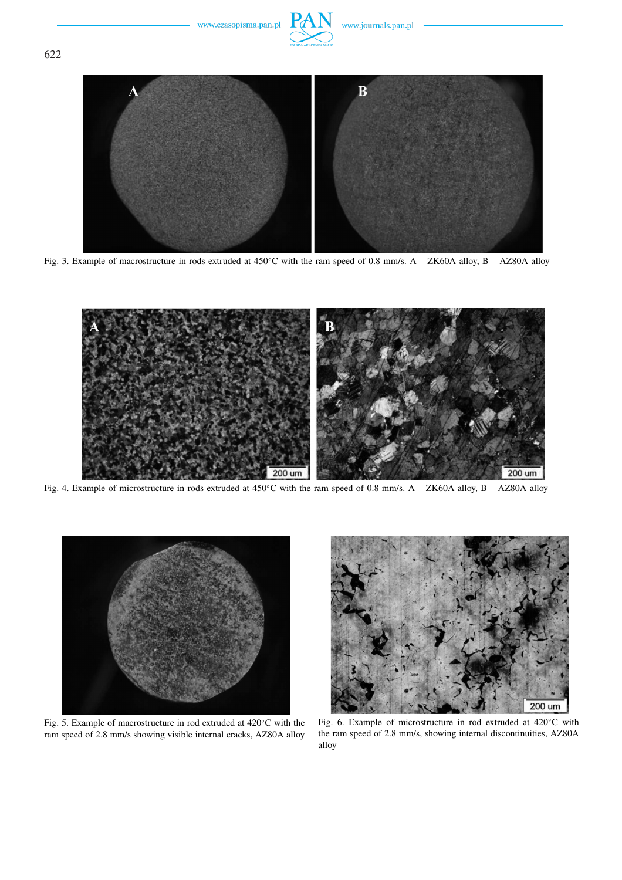

Fig. 3. Example of macrostructure in rods extruded at 450◦C with the ram speed of 0.8 mm/s. A – ZK60A alloy, B – AZ80A alloy



Fig. 4. Example of microstructure in rods extruded at 450◦C with the ram speed of 0.8 mm/s. A – ZK60A alloy, B – AZ80A alloy



Fig. 5. Example of macrostructure in rod extruded at 420◦C with the ram speed of 2.8 mm/s showing visible internal cracks, AZ80A alloy



Fig. 6. Example of microstructure in rod extruded at 420◦C with the ram speed of 2.8 mm/s, showing internal discontinuities, AZ80A alloy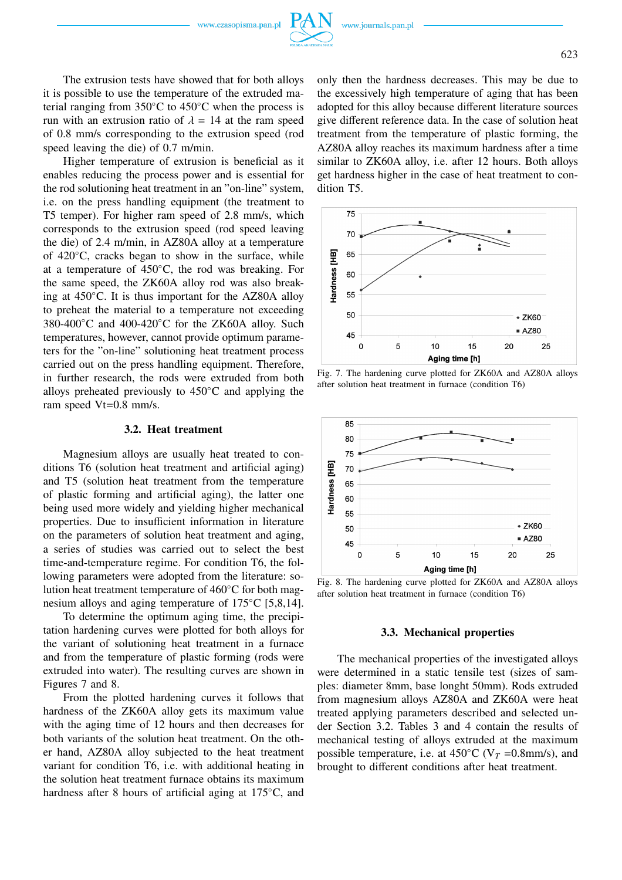The extrusion tests have showed that for both alloys it is possible to use the temperature of the extruded material ranging from 350◦C to 450◦C when the process is run with an extrusion ratio of  $\lambda = 14$  at the ram speed of 0.8 mm/s corresponding to the extrusion speed (rod speed leaving the die) of 0.7 m/min.

Higher temperature of extrusion is beneficial as it enables reducing the process power and is essential for the rod solutioning heat treatment in an "on-line" system, i.e. on the press handling equipment (the treatment to T5 temper). For higher ram speed of 2.8 mm/s, which corresponds to the extrusion speed (rod speed leaving the die) of 2.4 m/min, in AZ80A alloy at a temperature of 420◦C, cracks began to show in the surface, while at a temperature of 450◦C, the rod was breaking. For the same speed, the ZK60A alloy rod was also breaking at 450◦C. It is thus important for the AZ80A alloy to preheat the material to a temperature not exceeding 380-400◦C and 400-420◦C for the ZK60A alloy. Such temperatures, however, cannot provide optimum parameters for the "on-line" solutioning heat treatment process carried out on the press handling equipment. Therefore, in further research, the rods were extruded from both alloys preheated previously to 450◦C and applying the ram speed Vt=0.8 mm/s.

## **3.2. Heat treatment**

Magnesium alloys are usually heat treated to conditions T6 (solution heat treatment and artificial aging) and T5 (solution heat treatment from the temperature of plastic forming and artificial aging), the latter one being used more widely and yielding higher mechanical properties. Due to insufficient information in literature on the parameters of solution heat treatment and aging, a series of studies was carried out to select the best time-and-temperature regime. For condition T6, the following parameters were adopted from the literature: solution heat treatment temperature of 460◦C for both magnesium alloys and aging temperature of 175<sup>°</sup>C [5,8,14].

To determine the optimum aging time, the precipitation hardening curves were plotted for both alloys for the variant of solutioning heat treatment in a furnace and from the temperature of plastic forming (rods were extruded into water). The resulting curves are shown in Figures 7 and 8.

From the plotted hardening curves it follows that hardness of the ZK60A alloy gets its maximum value with the aging time of 12 hours and then decreases for both variants of the solution heat treatment. On the other hand, AZ80A alloy subjected to the heat treatment variant for condition T6, i.e. with additional heating in the solution heat treatment furnace obtains its maximum hardness after 8 hours of artificial aging at 175◦C, and only then the hardness decreases. This may be due to the excessively high temperature of aging that has been adopted for this alloy because different literature sources give different reference data. In the case of solution heat treatment from the temperature of plastic forming, the AZ80A alloy reaches its maximum hardness after a time similar to ZK60A alloy, i.e. after 12 hours. Both alloys get hardness higher in the case of heat treatment to condition T5.



Fig. 7. The hardening curve plotted for ZK60A and AZ80A alloys after solution heat treatment in furnace (condition T6)



Fig. 8. The hardening curve plotted for ZK60A and AZ80A alloys after solution heat treatment in furnace (condition T6)

#### **3.3. Mechanical properties**

The mechanical properties of the investigated alloys were determined in a static tensile test (sizes of samples: diameter 8mm, base longht 50mm). Rods extruded from magnesium alloys AZ80A and ZK60A were heat treated applying parameters described and selected under Section 3.2. Tables 3 and 4 contain the results of mechanical testing of alloys extruded at the maximum possible temperature, i.e. at  $450^{\circ}$ C (V<sub>T</sub> =0.8mm/s), and brought to different conditions after heat treatment.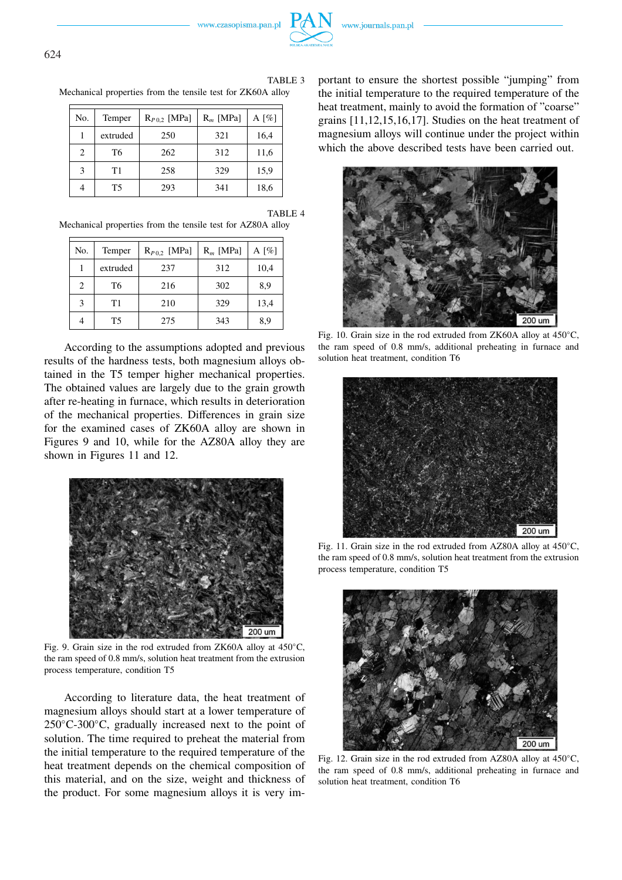



TABLE 3 Mechanical properties from the tensile test for ZK60A alloy

| No.                           | Temper   | $R_{P0.2}$ [MPa] | $R_m$ [MPa] | A $\lceil\% \rceil$ |  |
|-------------------------------|----------|------------------|-------------|---------------------|--|
|                               | extruded | 250              | 321         | 16,4                |  |
| $\mathfrak{D}_{\mathfrak{p}}$ | T6       | 262              | 312         | 11,6                |  |
| 3                             | T1       | 258              | 329         | 15,9                |  |
|                               | T5       | 293              | 341         | 18,6                |  |

TABLE 4

Mechanical properties from the tensile test for AZ80A alloy

| No. | Temper         | $R_{P0,2}$ [MPa] | $R_m$ [MPa] | A $\lceil \% \rceil$ |  |
|-----|----------------|------------------|-------------|----------------------|--|
|     | extruded       | 237              | 312         | 10,4                 |  |
| 2   | T6             | 216              | 302         | 8,9                  |  |
| 3   | T1             | 210              | 329         | 13,4                 |  |
|     | T <sub>5</sub> | 275              | 343         | 8,9                  |  |

According to the assumptions adopted and previous results of the hardness tests, both magnesium alloys obtained in the T5 temper higher mechanical properties. The obtained values are largely due to the grain growth after re-heating in furnace, which results in deterioration of the mechanical properties. Differences in grain size for the examined cases of ZK60A alloy are shown in Figures 9 and 10, while for the AZ80A alloy they are shown in Figures 11 and 12.



Fig. 9. Grain size in the rod extruded from ZK60A alloy at 450◦C, the ram speed of 0.8 mm/s, solution heat treatment from the extrusion process temperature, condition T5

According to literature data, the heat treatment of magnesium alloys should start at a lower temperature of 250◦C-300◦C, gradually increased next to the point of solution. The time required to preheat the material from the initial temperature to the required temperature of the heat treatment depends on the chemical composition of this material, and on the size, weight and thickness of the product. For some magnesium alloys it is very important to ensure the shortest possible "jumping" from the initial temperature to the required temperature of the heat treatment, mainly to avoid the formation of "coarse" grains [11,12,15,16,17]. Studies on the heat treatment of magnesium alloys will continue under the project within which the above described tests have been carried out.



Fig. 10. Grain size in the rod extruded from ZK60A alloy at 450◦C, the ram speed of 0.8 mm/s, additional preheating in furnace and solution heat treatment, condition T6



Fig. 11. Grain size in the rod extruded from AZ80A alloy at 450◦C, the ram speed of 0.8 mm/s, solution heat treatment from the extrusion process temperature, condition T5



Fig. 12. Grain size in the rod extruded from AZ80A alloy at 450◦C, the ram speed of 0.8 mm/s, additional preheating in furnace and solution heat treatment, condition T6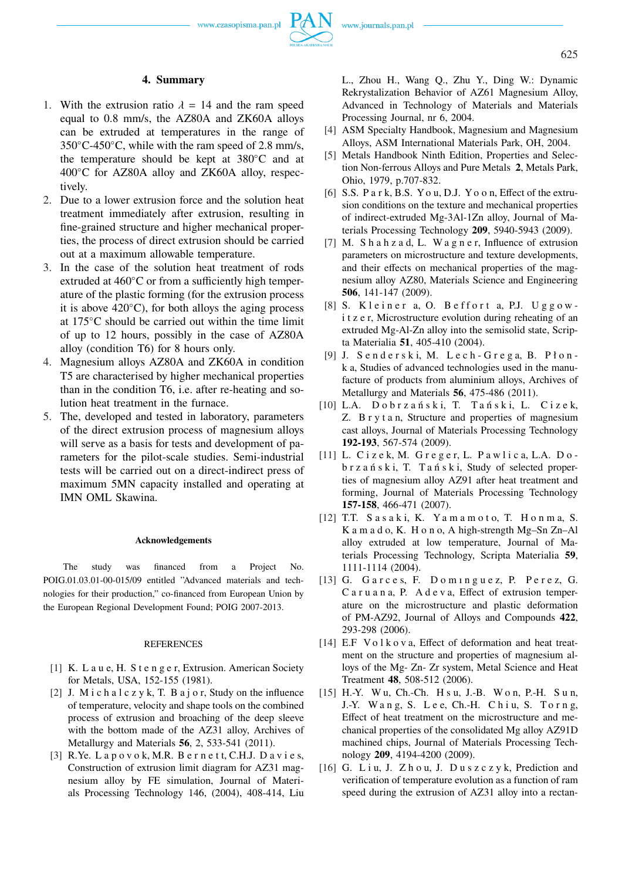

### **4. Summary**

- 1. With the extrusion ratio  $\lambda = 14$  and the ram speed equal to 0.8 mm/s, the AZ80A and ZK60A alloys can be extruded at temperatures in the range of  $350^{\circ}$ C-450 $^{\circ}$ C, while with the ram speed of 2.8 mm/s, the temperature should be kept at 380◦C and at 400◦C for AZ80A alloy and ZK60A alloy, respectively.
- 2. Due to a lower extrusion force and the solution heat treatment immediately after extrusion, resulting in fine-grained structure and higher mechanical properties, the process of direct extrusion should be carried out at a maximum allowable temperature.
- 3. In the case of the solution heat treatment of rods extruded at 460◦C or from a sufficiently high temperature of the plastic forming (for the extrusion process it is above  $420^{\circ}$ C), for both alloys the aging process at 175◦C should be carried out within the time limit of up to 12 hours, possibly in the case of AZ80A alloy (condition T6) for 8 hours only.
- 4. Magnesium alloys AZ80A and ZK60A in condition T5 are characterised by higher mechanical properties than in the condition T6, i.e. after re-heating and solution heat treatment in the furnace.
- 5. The, developed and tested in laboratory, parameters of the direct extrusion process of magnesium alloys will serve as a basis for tests and development of parameters for the pilot-scale studies. Semi-industrial tests will be carried out on a direct-indirect press of maximum 5MN capacity installed and operating at IMN OML Skawina.

#### **Acknowledgements**

The study was financed from a Project No. POIG.01.03.01-00-015/09 entitled "Advanced materials and technologies for their production," co-financed from European Union by the European Regional Development Found; POIG 2007-2013.

## REFERENCES

- [1] K. L a u e, H. S t e n g e r, Extrusion. American Society for Metals, USA, 152-155 (1981).
- [2] J. M i c h a  $l$  c z y k, T. B a j o r, Study on the influence of temperature, velocity and shape tools on the combined process of extrusion and broaching of the deep sleeve with the bottom made of the AZ31 alloy, Archives of Metallurgy and Materials **56**, 2, 533-541 (2011).
- [3] R.Ye. Lapovok, M.R. Bernett, C.H.J. Davies, Construction of extrusion limit diagram for AZ31 magnesium alloy by FE simulation, Journal of Materials Processing Technology 146, (2004), 408-414, Liu

L., Zhou H., Wang Q., Zhu Y., Ding W.: Dynamic Rekrystalization Behavior of AZ61 Magnesium Alloy, Advanced in Technology of Materials and Materials Processing Journal, nr 6, 2004.

- [4] ASM Specialty Handbook, Magnesium and Magnesium Alloys, ASM International Materials Park, OH, 2004.
- [5] Metals Handbook Ninth Edition, Properties and Selection Non-ferrous Alloys and Pure Metals **2**, Metals Park, Ohio, 1979, p.707-832.
- [6] S.S. P a r k, B.S. Y o u, D.J. Y o o n, Effect of the extrusion conditions on the texture and mechanical properties of indirect-extruded Mg-3Al-1Zn alloy, Journal of Materials Processing Technology **209**, 5940-5943 (2009).
- [7] M. S h a h z a d, L. W a g n e r, Influence of extrusion parameters on microstructure and texture developments, and their effects on mechanical properties of the magnesium alloy AZ80, Materials Science and Engineering **506**, 141-147 (2009).
- $[8]$  S. Kleiner a, O. Beffort a, P.J. Uggowi t z e r, Microstructure evolution during reheating of an extruded Mg-Al-Zn alloy into the semisolid state, Scripta Materialia **51**, 405-410 (2004).
- [9] J. S e n d e r s k i, M. L e c h G r e g a, B. P ł o n k a, Studies of advanced technologies used in the manufacture of products from aluminium alloys, Archives of Metallurgy and Materials **56**, 475-486 (2011).
- [10] L.A. D o b r z a ń s k i, T. T a ń s k i, L. C i z e k, Z. B r y t a n, Structure and properties of magnesium cast alloys, Journal of Materials Processing Technology **192-193**, 567-574 (2009).
- [11] L. Cizek, M. Greger, L. Pawlica, L.A. Dob r z a ń s k i, T. T a ń s k i, Study of selected properties of magnesium alloy AZ91 after heat treatment and forming, Journal of Materials Processing Technology **157-158**, 466-471 (2007).
- [12] T.T. S a s a k i, K. Ya m a m o t o, T. H o n m a, S. K a m a d o, K. H o n o, A high-strength Mg–Sn Zn–Al alloy extruded at low temperature, Journal of Materials Processing Technology, Scripta Materialia **59**, 1111-1114 (2004).
- [13] G. Garces, F. Dominguez, P. Perez, G. C a r u a n a, P. A d e v a, Effect of extrusion temperature on the microstructure and plastic deformation of PM-AZ92, Journal of Alloys and Compounds **422**, 293-298 (2006).
- [14] E.F Volkova, Effect of deformation and heat treatment on the structure and properties of magnesium alloys of the Mg- Zn- Zr system, Metal Science and Heat Treatment **48**, 508-512 (2006).
- [15] H.-Y. W u, Ch.-Ch. H s u, J.-B. W o n, P.-H. S u n, J.-Y. W a n g, S. L e e, Ch.-H. C h i u, S. To r n g, Effect of heat treatment on the microstructure and mechanical properties of the consolidated Mg alloy AZ91D machined chips, Journal of Materials Processing Technology **209**, 4194-4200 (2009).
- [16] G. Liu, J. Zhou, J. Duszczyk, Prediction and verification of temperature evolution as a function of ram speed during the extrusion of AZ31 alloy into a rectan-